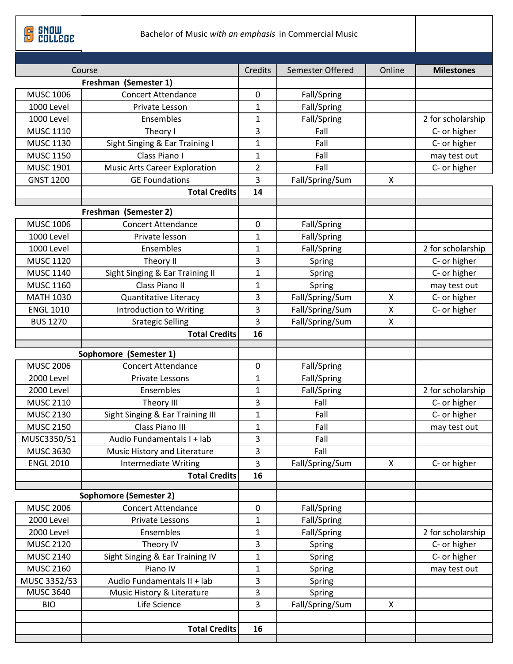**B** Sucrees

| Course            |                                      | Credits        | Semester Offered | Online       | <b>Milestones</b>            |
|-------------------|--------------------------------------|----------------|------------------|--------------|------------------------------|
|                   | Freshman (Semester 1)                |                |                  |              |                              |
| <b>MUSC 1006</b>  | <b>Concert Attendance</b>            | 0              | Fall/Spring      |              |                              |
| <b>1000 Level</b> | Private Lesson                       | $\mathbf{1}$   | Fall/Spring      |              |                              |
| 1000 Level        | Ensembles                            | $\mathbf{1}$   | Fall/Spring      |              | 2 for scholarship            |
| <b>MUSC 1110</b>  | Theory I                             | 3              | Fall             |              | C- or higher                 |
| <b>MUSC 1130</b>  | Sight Singing & Ear Training I       | $\mathbf{1}$   | Fall             |              | C- or higher                 |
| <b>MUSC 1150</b>  | Class Piano I                        | $\mathbf{1}$   | Fall             |              | may test out                 |
| <b>MUSC 1901</b>  | <b>Music Arts Career Exploration</b> | $\overline{2}$ | Fall             |              | C- or higher                 |
| <b>GNST 1200</b>  | <b>GE Foundations</b>                | 3              | Fall/Spring/Sum  | X            |                              |
|                   | <b>Total Credits</b>                 | 14             |                  |              |                              |
|                   | Freshman (Semester 2)                |                |                  |              |                              |
| <b>MUSC 1006</b>  | <b>Concert Attendance</b>            | 0              | Fall/Spring      |              |                              |
| 1000 Level        | Private lesson                       | $\mathbf{1}$   | Fall/Spring      |              |                              |
| 1000 Level        | Ensembles                            | 1              | Fall/Spring      |              | 2 for scholarship            |
| <b>MUSC 1120</b>  | Theory II                            | 3              | Spring           |              |                              |
| <b>MUSC 1140</b>  | Sight Singing & Ear Training II      | $\mathbf{1}$   | Spring           |              | C- or higher<br>C- or higher |
| <b>MUSC 1160</b>  | Class Piano II                       | 1              | Spring           |              | may test out                 |
| <b>MATH 1030</b>  | Quantitative Literacy                | 3              | Fall/Spring/Sum  | $\mathsf{x}$ | C- or higher                 |
| <b>ENGL 1010</b>  | <b>Introduction to Writing</b>       | 3              | Fall/Spring/Sum  | Χ            | C- or higher                 |
| <b>BUS 1270</b>   | <b>Srategic Selling</b>              | 3              | Fall/Spring/Sum  | X            |                              |
|                   | <b>Total Credits</b>                 | 16             |                  |              |                              |
|                   |                                      |                |                  |              |                              |
|                   | Sophomore (Semester 1)               |                |                  |              |                              |
| <b>MUSC 2006</b>  | <b>Concert Attendance</b>            | 0              | Fall/Spring      |              |                              |
| 2000 Level        | Private Lessons                      | $\mathbf{1}$   | Fall/Spring      |              |                              |
| 2000 Level        | Ensembles                            | $\mathbf{1}$   | Fall/Spring      |              | 2 for scholarship            |
| <b>MUSC 2110</b>  | Theory III                           | 3              | Fall             |              | C- or higher                 |
| <b>MUSC 2130</b>  | Sight Singing & Ear Training III     | $\mathbf{1}$   | Fall             |              | C- or higher                 |
| <b>MUSC 2150</b>  | Class Piano III                      | $\mathbf{1}$   | Fall             |              | may test out                 |
| MUSC3350/51       | Audio Fundamentals I + lab           | 3              | Fall             |              |                              |
| <b>MUSC 3630</b>  | Music History and Literature         | 3              | Fall             |              |                              |
| <b>ENGL 2010</b>  | <b>Intermediate Writing</b>          | $\overline{3}$ | Fall/Spring/Sum  | $\mathsf{X}$ | C- or higher                 |
|                   | <b>Total Credits</b>                 | 16             |                  |              |                              |
|                   |                                      |                |                  |              |                              |
|                   | <b>Sophomore (Semester 2)</b>        |                |                  |              |                              |
| <b>MUSC 2006</b>  | <b>Concert Attendance</b>            | 0              | Fall/Spring      |              |                              |
| 2000 Level        | Private Lessons                      | $\mathbf{1}$   | Fall/Spring      |              | 2 for scholarship            |
| 2000 Level        | Ensembles                            | $\mathbf{1}$   |                  | Fall/Spring  |                              |
| <b>MUSC 2120</b>  | Theory IV                            | 3              | Spring           | C- or higher |                              |
| <b>MUSC 2140</b>  | Sight Singing & Ear Training IV      | $\mathbf{1}$   | Spring           | C- or higher |                              |
| <b>MUSC 2160</b>  | Piano IV                             | $\mathbf{1}$   | Spring           | may test out |                              |
| MUSC 3352/53      | Audio Fundamentals II + lab          | 3              | Spring           |              |                              |
| <b>MUSC 3640</b>  | Music History & Literature           | 3              | Spring           |              |                              |
| <b>BIO</b>        | Life Science                         | $\overline{3}$ | Fall/Spring/Sum  | $\mathsf{X}$ |                              |
|                   |                                      |                |                  |              |                              |
|                   |                                      |                |                  |              |                              |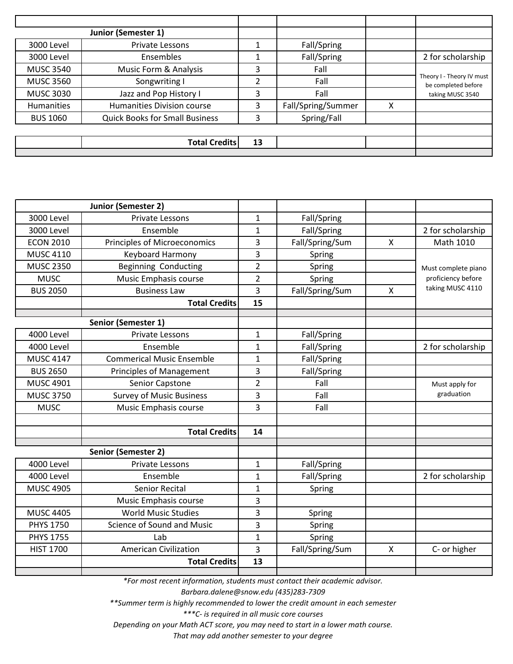|                  | <b>Junior (Semester 1)</b>            |                |                    |   |                                                  |
|------------------|---------------------------------------|----------------|--------------------|---|--------------------------------------------------|
| 3000 Level       | Private Lessons                       |                | Fall/Spring        |   |                                                  |
| 3000 Level       | Ensembles                             |                | Fall/Spring        |   | 2 for scholarship                                |
| <b>MUSC 3540</b> | Music Form & Analysis                 | 3              | Fall               |   |                                                  |
| <b>MUSC 3560</b> | Songwriting I                         | $\overline{2}$ | Fall               |   | Theory I - Theory IV must<br>be completed before |
| <b>MUSC 3030</b> | Jazz and Pop History I                | 3              | Fall               |   | taking MUSC 3540                                 |
| Humanities       | <b>Humanities Division course</b>     | 3              | Fall/Spring/Summer | x |                                                  |
| <b>BUS 1060</b>  | <b>Quick Books for Small Business</b> | 3              | Spring/Fall        |   |                                                  |
|                  |                                       |                |                    |   |                                                  |
|                  | <b>Total Credits</b>                  | 13             |                    |   |                                                  |
|                  |                                       |                |                    |   |                                                  |

|                   | Junior (Semester 2)                               |                |                 |                           |                     |  |
|-------------------|---------------------------------------------------|----------------|-----------------|---------------------------|---------------------|--|
| <b>3000 Level</b> | <b>Private Lessons</b>                            | 1              | Fall/Spring     |                           |                     |  |
| 3000 Level        | Ensemble                                          | $\mathbf{1}$   | Fall/Spring     |                           | 2 for scholarship   |  |
| <b>ECON 2010</b>  | <b>Principles of Microeconomics</b>               | 3              | Fall/Spring/Sum | $\mathsf{x}$              | Math 1010           |  |
| <b>MUSC 4110</b>  | Keyboard Harmony                                  | 3              | Spring          |                           |                     |  |
| <b>MUSC 2350</b>  | <b>Beginning Conducting</b>                       | $\overline{2}$ | Spring          |                           | Must complete piano |  |
| <b>MUSC</b>       | Music Emphasis course<br>$\overline{2}$<br>Spring |                |                 | proficiency before        |                     |  |
| <b>BUS 2050</b>   | <b>Business Law</b>                               | 3              | Fall/Spring/Sum | $\boldsymbol{\mathsf{X}}$ | taking MUSC 4110    |  |
|                   | <b>Total Credits</b>                              | 15             |                 |                           |                     |  |
|                   | Senior (Semester 1)                               |                |                 |                           |                     |  |
| <b>4000 Level</b> | <b>Private Lessons</b>                            | $\mathbf{1}$   | Fall/Spring     |                           |                     |  |
| <b>4000 Level</b> | Ensemble                                          | $\mathbf{1}$   | Fall/Spring     |                           | 2 for scholarship   |  |
| <b>MUSC 4147</b>  | <b>Commerical Music Ensemble</b>                  | 1              | Fall/Spring     |                           |                     |  |
| <b>BUS 2650</b>   | <b>Principles of Management</b>                   | 3              | Fall/Spring     |                           |                     |  |
| <b>MUSC 4901</b>  | Senior Capstone                                   | $\overline{2}$ | Fall            |                           | Must apply for      |  |
| <b>MUSC 3750</b>  | <b>Survey of Music Business</b>                   | 3              | Fall            |                           | graduation          |  |
| <b>MUSC</b>       | Music Emphasis course                             | 3              | Fall            |                           |                     |  |
|                   |                                                   |                |                 |                           |                     |  |
|                   | <b>Total Credits</b>                              | 14             |                 |                           |                     |  |
|                   |                                                   |                |                 |                           |                     |  |
|                   | Senior (Semester 2)                               |                |                 |                           |                     |  |
| 4000 Level        | <b>Private Lessons</b>                            | $\mathbf{1}$   | Fall/Spring     |                           |                     |  |
| <b>4000 Level</b> | Ensemble                                          | $\mathbf{1}$   | Fall/Spring     |                           | 2 for scholarship   |  |
| <b>MUSC 4905</b>  | Senior Recital                                    | $\mathbf{1}$   | Spring          |                           |                     |  |
|                   | Music Emphasis course                             | 3              |                 |                           |                     |  |
| <b>MUSC 4405</b>  | <b>World Music Studies</b>                        | 3              | Spring          |                           |                     |  |
| <b>PHYS 1750</b>  | Science of Sound and Music                        | 3              | Spring          |                           |                     |  |
| <b>PHYS 1755</b>  | Lab                                               | 1              | Spring          |                           |                     |  |
| <b>HIST 1700</b>  | <b>American Civilization</b>                      | 3              | Fall/Spring/Sum | $\mathsf{X}$              | C- or higher        |  |
|                   | <b>Total Credits</b>                              | 13             |                 |                           |                     |  |
|                   |                                                   |                |                 |                           |                     |  |

*\*For most recent information, students must contact their academic advisor.* 

*Barbara.dalene@snow.edu (435)283-7309* 

*\*\*Summer term is highly recommended to lower the credit amount in each semester* 

*\*\*\*C- is required in all music core courses* 

*Depending on your Math ACT score, you may need to start in a lower math course.* 

*That may add another semester to your degree*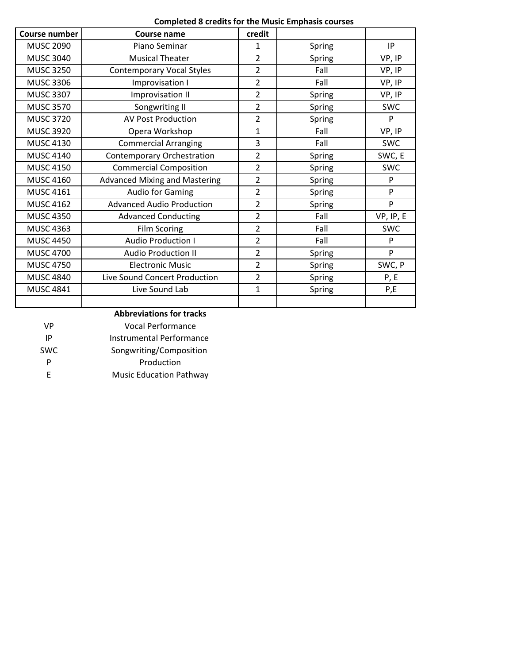| <b>Completed 8 credits for the Music Emphasis courses</b> |  |  |  |  |  |
|-----------------------------------------------------------|--|--|--|--|--|
|-----------------------------------------------------------|--|--|--|--|--|

| <b>Course number</b> | Course name                          | credit         |        |            |
|----------------------|--------------------------------------|----------------|--------|------------|
| <b>MUSC 2090</b>     | Piano Seminar                        | 1              | Spring | IP         |
| <b>MUSC 3040</b>     | <b>Musical Theater</b>               | 2              | Spring | VP, IP     |
| <b>MUSC 3250</b>     | <b>Contemporary Vocal Styles</b>     | 2              | Fall   | VP, IP     |
| <b>MUSC 3306</b>     | Improvisation I                      | $\overline{2}$ | Fall   | VP, IP     |
| <b>MUSC 3307</b>     | Improvisation II                     | $\overline{2}$ | Spring | VP, IP     |
| <b>MUSC 3570</b>     | Songwriting II                       | 2              | Spring | <b>SWC</b> |
| <b>MUSC 3720</b>     | <b>AV Post Production</b>            | 2              | Spring | P          |
| <b>MUSC 3920</b>     | Opera Workshop                       | 1              | Fall   | VP, IP     |
| <b>MUSC 4130</b>     | <b>Commercial Arranging</b>          | 3              | Fall   | <b>SWC</b> |
| <b>MUSC 4140</b>     | <b>Contemporary Orchestration</b>    | $\overline{2}$ | Spring | SWC, E     |
| <b>MUSC 4150</b>     | <b>Commercial Composition</b>        | $\overline{2}$ | Spring | <b>SWC</b> |
| <b>MUSC 4160</b>     | <b>Advanced Mixing and Mastering</b> | 2              | Spring | P          |
| <b>MUSC 4161</b>     | Audio for Gaming                     | 2              | Spring | P          |
| <b>MUSC 4162</b>     | <b>Advanced Audio Production</b>     | $\overline{2}$ | Spring | P          |
| <b>MUSC 4350</b>     | <b>Advanced Conducting</b>           | $\overline{2}$ | Fall   | VP, IP, E  |
| <b>MUSC 4363</b>     | Film Scoring                         | $\overline{2}$ | Fall   | <b>SWC</b> |
| <b>MUSC 4450</b>     | <b>Audio Production I</b>            | 2              | Fall   | P          |
| <b>MUSC 4700</b>     | <b>Audio Production II</b>           | 2              | Spring | P          |
| <b>MUSC 4750</b>     | <b>Electronic Music</b>              | $\overline{2}$ | Spring | SWC, P     |
| <b>MUSC 4840</b>     | Live Sound Concert Production        | 2              | Spring | P, E       |
| <b>MUSC 4841</b>     | Live Sound Lab                       | $\mathbf{1}$   | Spring | P,E        |
|                      |                                      |                |        |            |

## **Abbreviations for tracks**

| VP         | Vocal Performance               |
|------------|---------------------------------|
| ΙP         | <b>Instrumental Performance</b> |
| <b>SWC</b> | Songwriting/Composition         |
| Р          | Production                      |
| F.         | <b>Music Education Pathway</b>  |